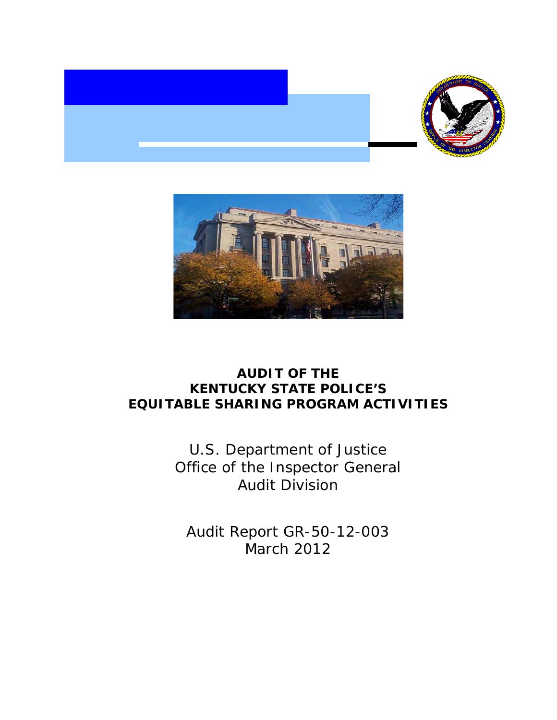



# **AUDIT OF THE KENTUCKY STATE POLICE'S EQUITABLE SHARING PROGRAM ACTIVITIES**

U.S. Department of Justice Office of the Inspector General Audit Division

Audit Report GR-50-12-003 March 2012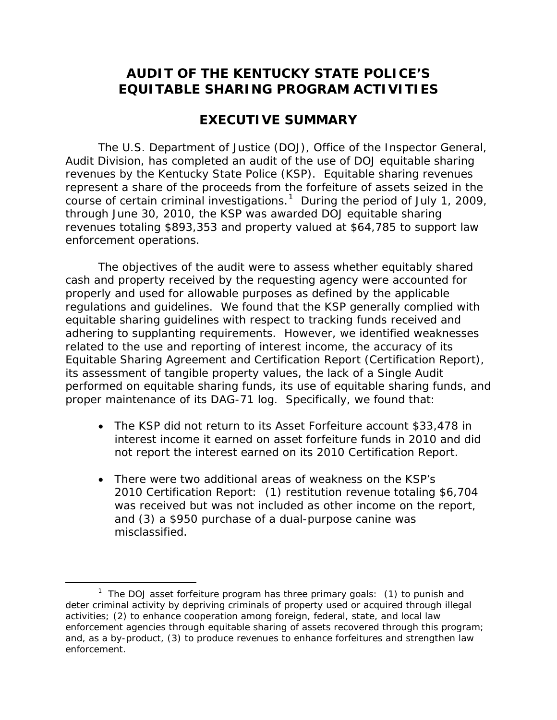## **AUDIT OF THE KENTUCKY STATE POLICE'S EQUITABLE SHARING PROGRAM ACTIVITIES**

## **EXECUTIVE SUMMARY**

The U.S. Department of Justice (DOJ), Office of the Inspector General, Audit Division, has completed an audit of the use of DOJ equitable sharing revenues by the Kentucky State Police (KSP). Equitable sharing revenues represent a share of the proceeds from the forfeiture of assets seized in the course of certain criminal investigations.<sup>[1](#page-1-0)</sup> During the period of July 1, 2009, through June 30, 2010, the KSP was awarded DOJ equitable sharing revenues totaling \$893,353 and property valued at \$64,785 to support law enforcement operations.

The objectives of the audit were to assess whether equitably shared cash and property received by the requesting agency were accounted for properly and used for allowable purposes as defined by the applicable regulations and guidelines. We found that the KSP generally complied with equitable sharing guidelines with respect to tracking funds received and adhering to supplanting requirements. However, we identified weaknesses related to the use and reporting of interest income, the accuracy of its Equitable Sharing Agreement and Certification Report (Certification Report), its assessment of tangible property values, the lack of a Single Audit performed on equitable sharing funds, its use of equitable sharing funds, and proper maintenance of its DAG-71 log. Specifically, we found that:

- The KSP did not return to its Asset Forfeiture account \$33,478 in interest income it earned on asset forfeiture funds in 2010 and did not report the interest earned on its 2010 Certification Report.
- There were two additional areas of weakness on the KSP's 2010 Certification Report: (1) restitution revenue totaling \$6,704 was received but was not included as other income on the report, and (3) a \$950 purchase of a dual-purpose canine was misclassified.

<span id="page-1-0"></span> $\overline{\phantom{a}}$ <sup>1</sup> The DOJ asset forfeiture program has three primary goals: (1) to punish and deter criminal activity by depriving criminals of property used or acquired through illegal activities; (2) to enhance cooperation among foreign, federal, state, and local law enforcement agencies through equitable sharing of assets recovered through this program; and, as a by-product, (3) to produce revenues to enhance forfeitures and strengthen law enforcement.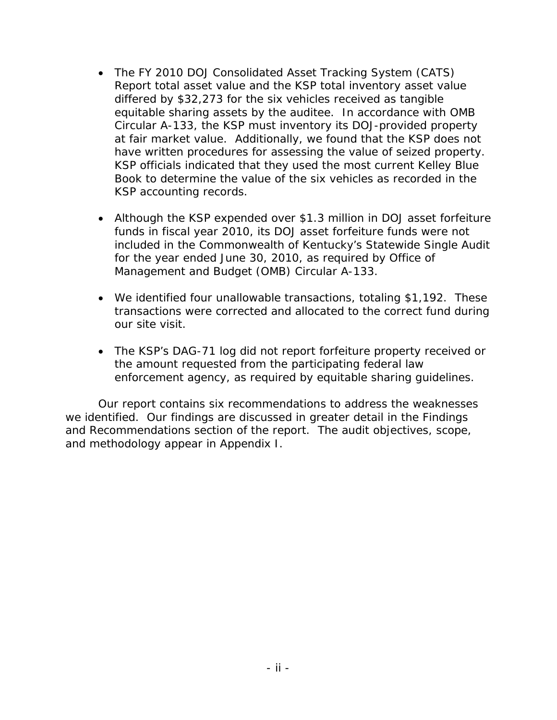- The FY 2010 DOJ Consolidated Asset Tracking System (CATS) Report total asset value and the KSP total inventory asset value differed by \$32,273 for the six vehicles received as tangible equitable sharing assets by the auditee. In accordance with OMB Circular A-133, the KSP must inventory its DOJ-provided property at fair market value. Additionally, we found that the KSP does not have written procedures for assessing the value of seized property. KSP officials indicated that they used the most current Kelley Blue Book to determine the value of the six vehicles as recorded in the KSP accounting records.
- Although the KSP expended over \$1.3 million in DOJ asset forfeiture funds in fiscal year 2010, its DOJ asset forfeiture funds were not included in the Commonwealth of Kentucky's Statewide Single Audit for the year ended June 30, 2010, as required by Office of Management and Budget (OMB) Circular A-133.
- We identified four unallowable transactions, totaling \$1,192. These transactions were corrected and allocated to the correct fund during our site visit.
- The KSP's DAG-71 log did not report forfeiture property received or the amount requested from the participating federal law enforcement agency, as required by equitable sharing guidelines.

Our report contains six recommendations to address the weaknesses we identified. Our findings are discussed in greater detail in the Findings and Recommendations section of the report. The audit objectives, scope, and methodology appear in Appendix I.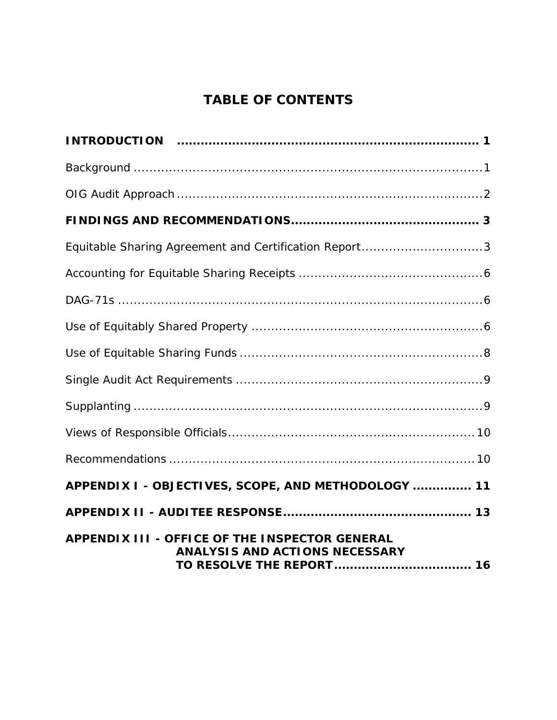# **TABLE OF CONTENTS**

| Equitable Sharing Agreement and Certification Report3                                   |
|-----------------------------------------------------------------------------------------|
|                                                                                         |
|                                                                                         |
|                                                                                         |
|                                                                                         |
|                                                                                         |
|                                                                                         |
|                                                                                         |
|                                                                                         |
| APPENDIX I - OBJECTIVES, SCOPE, AND METHODOLOGY  11                                     |
|                                                                                         |
| APPENDIX III - OFFICE OF THE INSPECTOR GENERAL<br><b>ANALYSIS AND ACTIONS NECESSARY</b> |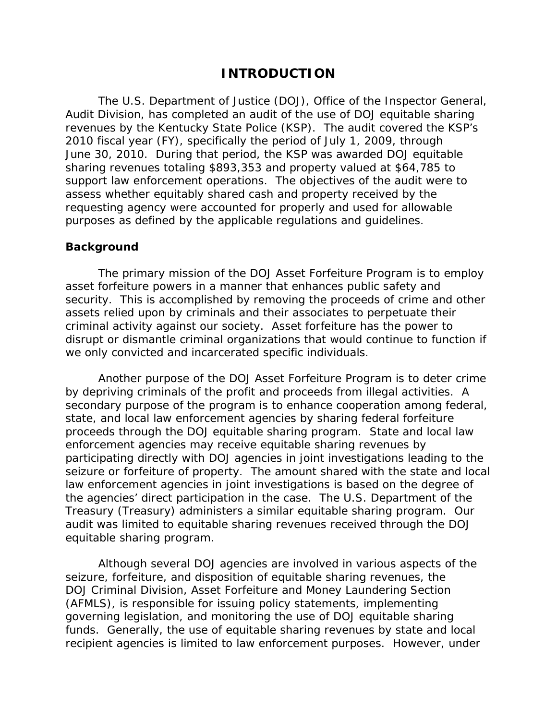## **INTRODUCTION**

The U.S. Department of Justice (DOJ), Office of the Inspector General, Audit Division, has completed an audit of the use of DOJ equitable sharing revenues by the Kentucky State Police (KSP). The audit covered the KSP's 2010 fiscal year (FY), specifically the period of July 1, 2009, through June 30, 2010. During that period, the KSP was awarded DOJ equitable sharing revenues totaling \$893,353 and property valued at \$64,785 to support law enforcement operations. The objectives of the audit were to assess whether equitably shared cash and property received by the requesting agency were accounted for properly and used for allowable purposes as defined by the applicable regulations and guidelines.

#### **Background**

The primary mission of the DOJ Asset Forfeiture Program is to employ asset forfeiture powers in a manner that enhances public safety and security. This is accomplished by removing the proceeds of crime and other assets relied upon by criminals and their associates to perpetuate their criminal activity against our society. Asset forfeiture has the power to disrupt or dismantle criminal organizations that would continue to function if we only convicted and incarcerated specific individuals.

Another purpose of the DOJ Asset Forfeiture Program is to deter crime by depriving criminals of the profit and proceeds from illegal activities. A secondary purpose of the program is to enhance cooperation among federal, state, and local law enforcement agencies by sharing federal forfeiture proceeds through the DOJ equitable sharing program. State and local law enforcement agencies may receive equitable sharing revenues by participating directly with DOJ agencies in joint investigations leading to the seizure or forfeiture of property. The amount shared with the state and local law enforcement agencies in joint investigations is based on the degree of the agencies' direct participation in the case. The U.S. Department of the Treasury (Treasury) administers a similar equitable sharing program. Our audit was limited to equitable sharing revenues received through the DOJ equitable sharing program.

Although several DOJ agencies are involved in various aspects of the seizure, forfeiture, and disposition of equitable sharing revenues, the DOJ Criminal Division, Asset Forfeiture and Money Laundering Section (AFMLS), is responsible for issuing policy statements, implementing governing legislation, and monitoring the use of DOJ equitable sharing funds. Generally, the use of equitable sharing revenues by state and local recipient agencies is limited to law enforcement purposes. However, under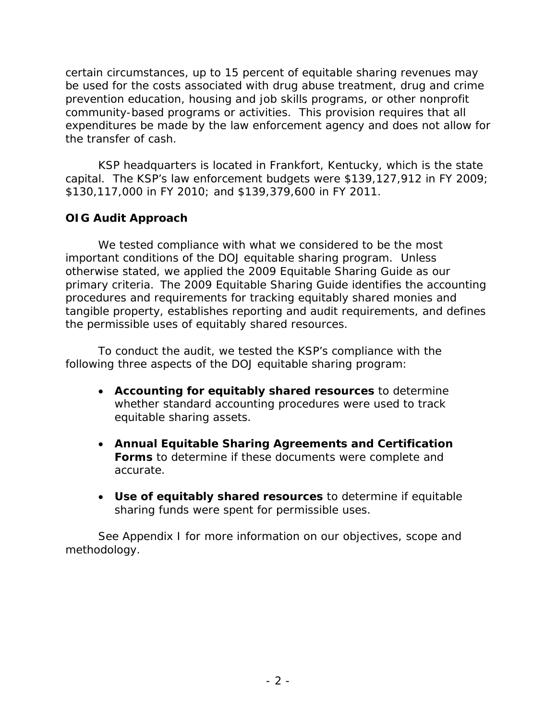certain circumstances, up to 15 percent of equitable sharing revenues may be used for the costs associated with drug abuse treatment, drug and crime prevention education, housing and job skills programs, or other nonprofit community-based programs or activities. This provision requires that all expenditures be made by the law enforcement agency and does not allow for the transfer of cash.

KSP headquarters is located in Frankfort, Kentucky, which is the state capital. The KSP's law enforcement budgets were \$139,127,912 in FY 2009; \$130,117,000 in FY 2010; and \$139,379,600 in FY 2011.

## **OIG Audit Approach**

We tested compliance with what we considered to be the most important conditions of the DOJ equitable sharing program. Unless otherwise stated, we applied the 2009 Equitable Sharing Guide as our primary criteria. The 2009 Equitable Sharing Guide identifies the accounting procedures and requirements for tracking equitably shared monies and tangible property, establishes reporting and audit requirements, and defines the permissible uses of equitably shared resources.

To conduct the audit, we tested the KSP's compliance with the following three aspects of the DOJ equitable sharing program:

- **Accounting for equitably shared resources** to determine whether standard accounting procedures were used to track equitable sharing assets.
- **Annual Equitable Sharing Agreements and Certification Forms** to determine if these documents were complete and accurate.
- **Use of equitably shared resources** to determine if equitable sharing funds were spent for permissible uses.

See Appendix I for more information on our objectives, scope and methodology.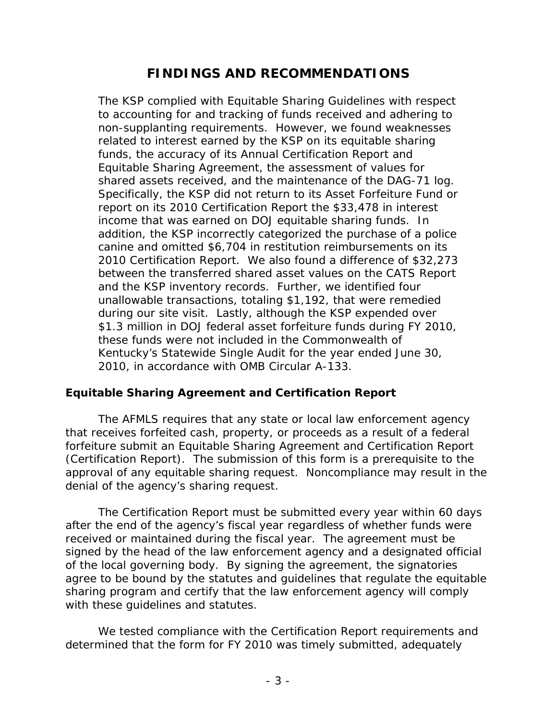## **FINDINGS AND RECOMMENDATIONS**

The KSP complied with Equitable Sharing Guidelines with respect to accounting for and tracking of funds received and adhering to non-supplanting requirements. However, we found weaknesses related to interest earned by the KSP on its equitable sharing funds, the accuracy of its Annual Certification Report and Equitable Sharing Agreement, the assessment of values for shared assets received, and the maintenance of the DAG-71 log. Specifically, the KSP did not return to its Asset Forfeiture Fund or report on its 2010 Certification Report the \$33,478 in interest income that was earned on DOJ equitable sharing funds. In addition, the KSP incorrectly categorized the purchase of a police canine and omitted \$6,704 in restitution reimbursements on its 2010 Certification Report. We also found a difference of \$32,273 between the transferred shared asset values on the CATS Report and the KSP inventory records. Further, we identified four unallowable transactions, totaling \$1,192, that were remedied during our site visit. Lastly, although the KSP expended over \$1.3 million in DOJ federal asset forfeiture funds during FY 2010, these funds were not included in the Commonwealth of Kentucky's Statewide Single Audit for the year ended June 30, 2010, in accordance with OMB Circular A-133.

#### **Equitable Sharing Agreement and Certification Report**

The AFMLS requires that any state or local law enforcement agency that receives forfeited cash, property, or proceeds as a result of a federal forfeiture submit an Equitable Sharing Agreement and Certification Report (Certification Report). The submission of this form is a prerequisite to the approval of any equitable sharing request. Noncompliance may result in the denial of the agency's sharing request.

The Certification Report must be submitted every year within 60 days after the end of the agency's fiscal year regardless of whether funds were received or maintained during the fiscal year. The agreement must be signed by the head of the law enforcement agency and a designated official of the local governing body. By signing the agreement, the signatories agree to be bound by the statutes and guidelines that regulate the equitable sharing program and certify that the law enforcement agency will comply with these guidelines and statutes.

We tested compliance with the Certification Report requirements and determined that the form for FY 2010 was timely submitted, adequately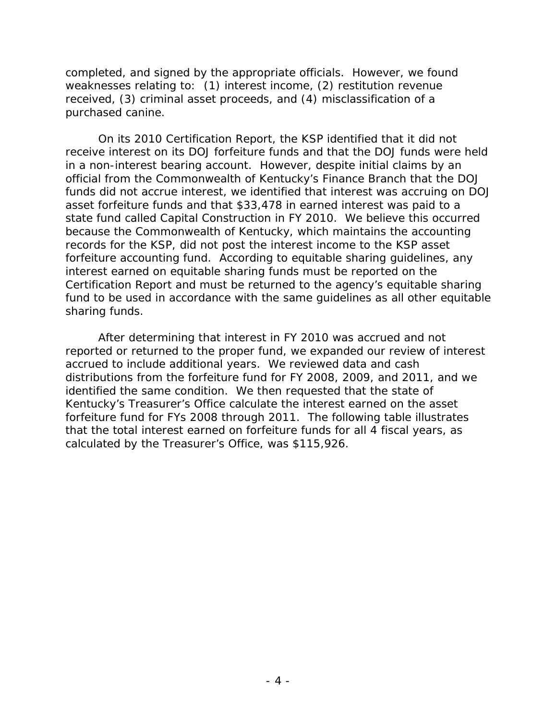completed, and signed by the appropriate officials. However, we found weaknesses relating to: (1) interest income, (2) restitution revenue received, (3) criminal asset proceeds, and (4) misclassification of a purchased canine.

On its 2010 Certification Report, the KSP identified that it did not receive interest on its DOJ forfeiture funds and that the DOJ funds were held in a non-interest bearing account. However, despite initial claims by an official from the Commonwealth of Kentucky's Finance Branch that the DOJ funds did not accrue interest, we identified that interest was accruing on DOJ asset forfeiture funds and that \$33,478 in earned interest was paid to a state fund called *Capital Construction* in FY 2010. We believe this occurred because the Commonwealth of Kentucky, which maintains the accounting records for the KSP, did not post the interest income to the KSP asset forfeiture accounting fund. According to equitable sharing guidelines, any interest earned on equitable sharing funds must be reported on the Certification Report and must be returned to the agency's equitable sharing fund to be used in accordance with the same guidelines as all other equitable sharing funds.

After determining that interest in FY 2010 was accrued and not reported or returned to the proper fund, we expanded our review of interest accrued to include additional years. We reviewed data and cash distributions from the forfeiture fund for FY 2008, 2009, and 2011, and we identified the same condition. We then requested that the state of Kentucky's Treasurer's Office calculate the interest earned on the asset forfeiture fund for FYs 2008 through 2011. The following table illustrates that the total interest earned on forfeiture funds for all 4 fiscal years, as calculated by the Treasurer's Office, was \$115,926.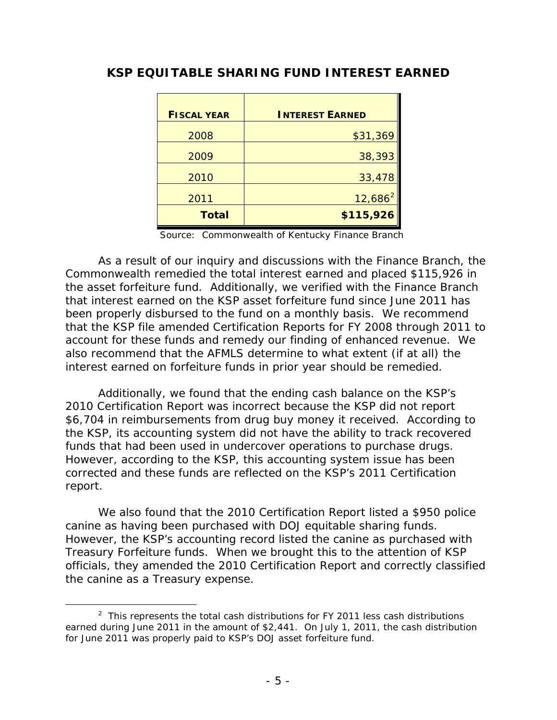| <b>FISCAL YEAR</b> | <b>INTEREST EARNED</b> |
|--------------------|------------------------|
| 2008               | \$31,369               |
| 2009               | 38,393                 |
| 2010               | 33,478                 |
| 2011               | $12,686^2$             |
| <b>Total</b>       | \$115,926              |

## **KSP EQUITABLE SHARING FUND INTEREST EARNED**

Source: Commonwealth of Kentucky Finance Branch

As a result of our inquiry and discussions with the Finance Branch, the Commonwealth remedied the total interest earned and placed \$115,926 in the asset forfeiture fund. Additionally, we verified with the Finance Branch that interest earned on the KSP asset forfeiture fund since June 2011 has been properly disbursed to the fund on a monthly basis. We recommend that the KSP file amended Certification Reports for FY 2008 through 2011 to account for these funds and remedy our finding of enhanced revenue. We also recommend that the AFMLS determine to what extent (if at all) the interest earned on forfeiture funds in prior year should be remedied.

Additionally, we found that the ending cash balance on the KSP's 2010 Certification Report was incorrect because the KSP did not report \$6,704 in reimbursements from drug buy money it received. According to the KSP, its accounting system did not have the ability to track recovered funds that had been used in undercover operations to purchase drugs. However, according to the KSP, this accounting system issue has been corrected and these funds are reflected on the KSP's 2011 Certification report.

We also found that the 2010 Certification Report listed a \$950 police canine as having been purchased with DOJ equitable sharing funds. However, the KSP's accounting record listed the canine as purchased with Treasury Forfeiture funds. When we brought this to the attention of KSP officials, they amended the 2010 Certification Report and correctly classified the canine as a Treasury expense.

<span id="page-8-0"></span> $\frac{1}{2}$  $2$  This represents the total cash distributions for FY 2011 less cash distributions earned during June 2011 in the amount of \$2,441. On July 1, 2011, the cash distribution for June 2011 was properly paid to KSP's DOJ asset forfeiture fund.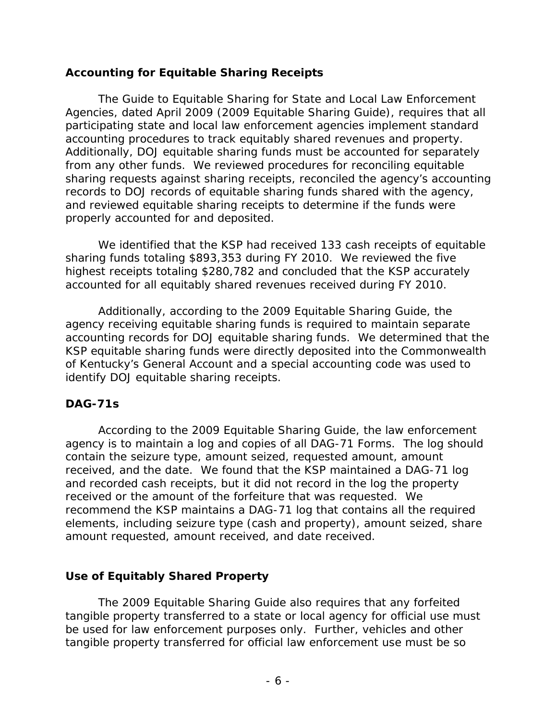## **Accounting for Equitable Sharing Receipts**

 The Guide to Equitable Sharing for State and Local Law Enforcement Agencies, dated April 2009 (2009 Equitable Sharing Guide), requires that all participating state and local law enforcement agencies implement standard accounting procedures to track equitably shared revenues and property. Additionally, DOJ equitable sharing funds must be accounted for separately from any other funds. We reviewed procedures for reconciling equitable sharing requests against sharing receipts, reconciled the agency's accounting records to DOJ records of equitable sharing funds shared with the agency, and reviewed equitable sharing receipts to determine if the funds were properly accounted for and deposited.

We identified that the KSP had received 133 cash receipts of equitable sharing funds totaling \$893,353 during FY 2010. We reviewed the five highest receipts totaling \$280,782 and concluded that the KSP accurately accounted for all equitably shared revenues received during FY 2010.

Additionally, according to the 2009 Equitable Sharing Guide, the agency receiving equitable sharing funds is required to maintain separate accounting records for DOJ equitable sharing funds. We determined that the KSP equitable sharing funds were directly deposited into the Commonwealth of Kentucky's General Account and a special accounting code was used to identify DOJ equitable sharing receipts.

#### **DAG-71s**

According to the 2009 Equitable Sharing Guide, the law enforcement agency is to maintain a log and copies of all DAG-71 Forms. The log should contain the seizure type, amount seized, requested amount, amount received, and the date. We found that the KSP maintained a DAG-71 log and recorded cash receipts, but it did not record in the log the property received or the amount of the forfeiture that was requested. We recommend the KSP maintains a DAG-71 log that contains all the required elements, including seizure type (cash and property), amount seized, share amount requested, amount received, and date received.

## **Use of Equitably Shared Property**

The 2009 Equitable Sharing Guide also requires that any forfeited tangible property transferred to a state or local agency for official use must be used for law enforcement purposes only. Further, vehicles and other tangible property transferred for official law enforcement use must be so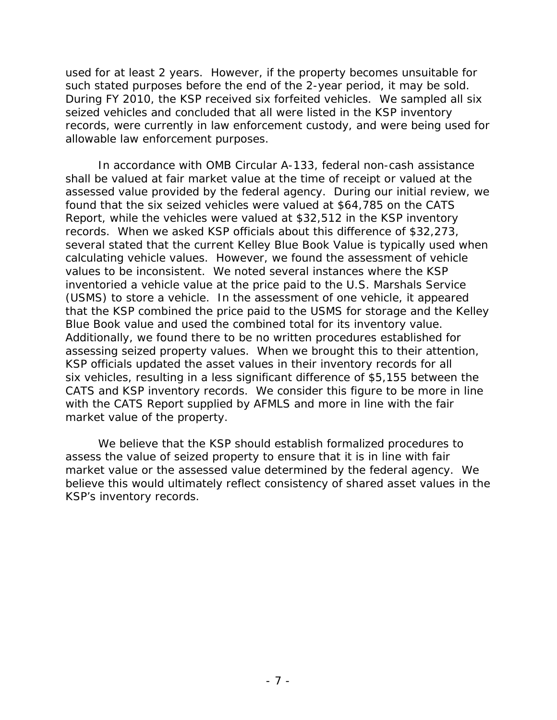used for at least 2 years. However, if the property becomes unsuitable for such stated purposes before the end of the 2-year period, it may be sold. During FY 2010, the KSP received six forfeited vehicles. We sampled all six seized vehicles and concluded that all were listed in the KSP inventory records, were currently in law enforcement custody, and were being used for allowable law enforcement purposes.

In accordance with OMB Circular A-133, federal non-cash assistance shall be valued at fair market value at the time of receipt or valued at the assessed value provided by the federal agency. During our initial review, we found that the six seized vehicles were valued at \$64,785 on the CATS Report, while the vehicles were valued at \$32,512 in the KSP inventory records. When we asked KSP officials about this difference of \$32,273, several stated that the current Kelley Blue Book Value is typically used when calculating vehicle values. However, we found the assessment of vehicle values to be inconsistent. We noted several instances where the KSP inventoried a vehicle value at the price paid to the U.S. Marshals Service (USMS) to store a vehicle. In the assessment of one vehicle, it appeared that the KSP combined the price paid to the USMS for storage and the Kelley Blue Book value and used the combined total for its inventory value. Additionally, we found there to be no written procedures established for assessing seized property values. When we brought this to their attention, KSP officials updated the asset values in their inventory records for all six vehicles, resulting in a less significant difference of \$5,155 between the CATS and KSP inventory records. We consider this figure to be more in line with the CATS Report supplied by AFMLS and more in line with the fair market value of the property.

We believe that the KSP should establish formalized procedures to assess the value of seized property to ensure that it is in line with fair market value or the assessed value determined by the federal agency. We believe this would ultimately reflect consistency of shared asset values in the KSP's inventory records.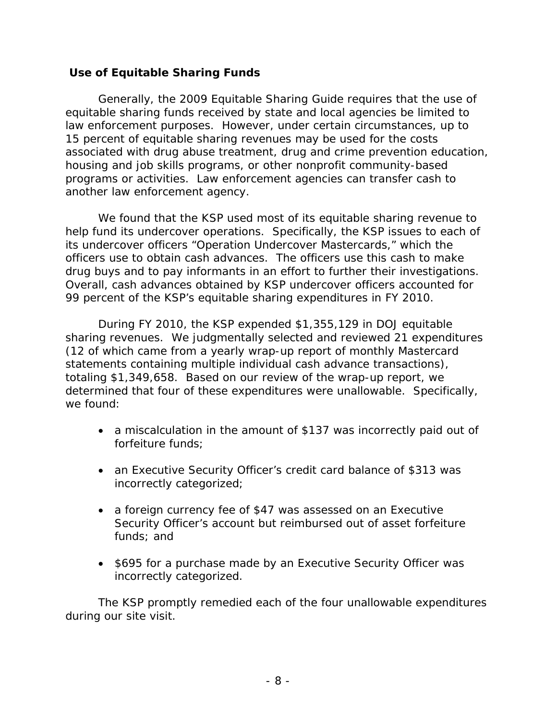#### **Use of Equitable Sharing Funds**

Generally, the 2009 Equitable Sharing Guide requires that the use of equitable sharing funds received by state and local agencies be limited to law enforcement purposes. However, under certain circumstances, up to 15 percent of equitable sharing revenues may be used for the costs associated with drug abuse treatment, drug and crime prevention education, housing and job skills programs, or other nonprofit community-based programs or activities. Law enforcement agencies can transfer cash to another law enforcement agency.

We found that the KSP used most of its equitable sharing revenue to help fund its undercover operations. Specifically, the KSP issues to each of its undercover officers "Operation Undercover Mastercards," which the officers use to obtain cash advances. The officers use this cash to make drug buys and to pay informants in an effort to further their investigations. Overall, cash advances obtained by KSP undercover officers accounted for 99 percent of the KSP's equitable sharing expenditures in FY 2010.

During FY 2010, the KSP expended \$1,355,129 in DOJ equitable sharing revenues. We judgmentally selected and reviewed 21 expenditures (12 of which came from a yearly wrap-up report of monthly Mastercard statements containing multiple individual cash advance transactions), totaling \$1,349,658. Based on our review of the wrap-up report, we determined that four of these expenditures were unallowable. Specifically, we found:

- a miscalculation in the amount of \$137 was incorrectly paid out of forfeiture funds;
- an Executive Security Officer's credit card balance of \$313 was incorrectly categorized;
- a foreign currency fee of \$47 was assessed on an Executive Security Officer's account but reimbursed out of asset forfeiture funds; and
- \$695 for a purchase made by an Executive Security Officer was incorrectly categorized.

The KSP promptly remedied each of the four unallowable expenditures during our site visit.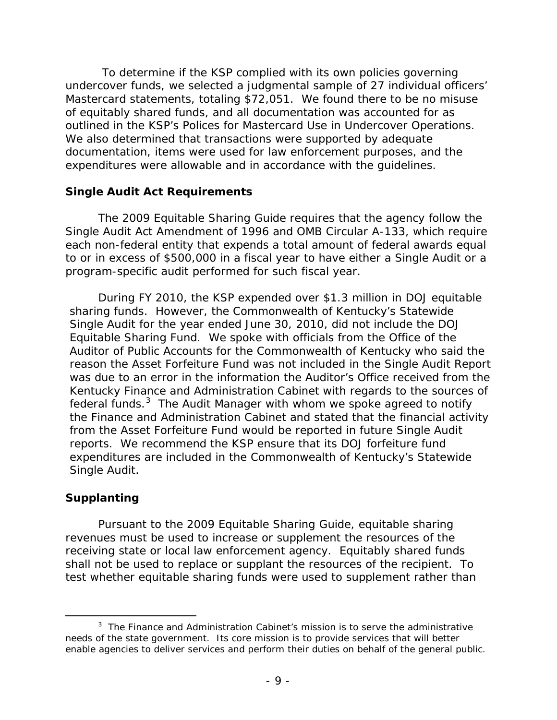To determine if the KSP complied with its own policies governing undercover funds, we selected a judgmental sample of 27 individual officers' Mastercard statements, totaling \$72,051. We found there to be no misuse of equitably shared funds, and all documentation was accounted for as outlined in the KSP's *Polices for Mastercard Use in Undercover Operations*. We also determined that transactions were supported by adequate documentation, items were used for law enforcement purposes, and the expenditures were allowable and in accordance with the guidelines.

#### **Single Audit Act Requirements**

The 2009 Equitable Sharing Guide requires that the agency follow the Single Audit Act Amendment of 1996 and OMB Circular A-133, which require each non-federal entity that expends a total amount of federal awards equal to or in excess of \$500,000 in a fiscal year to have either a Single Audit or a program-specific audit performed for such fiscal year.

During FY 2010, the KSP expended over \$1.3 million in DOJ equitable sharing funds. However, the Commonwealth of Kentucky's Statewide Single Audit for the year ended June 30, 2010, did not include the DOJ Equitable Sharing Fund. We spoke with officials from the Office of the Auditor of Public Accounts for the Commonwealth of Kentucky who said the reason the Asset Forfeiture Fund was not included in the Single Audit Report was due to an error in the information the Auditor's Office received from the Kentucky Finance and Administration Cabinet with regards to the sources of federal funds.<sup>[3](#page-12-0)</sup> The Audit Manager with whom we spoke agreed to notify the Finance and Administration Cabinet and stated that the financial activity from the Asset Forfeiture Fund would be reported in future Single Audit reports. We recommend the KSP ensure that its DOJ forfeiture fund expenditures are included in the Commonwealth of Kentucky's Statewide Single Audit.

#### **Supplanting**

Pursuant to the 2009 Equitable Sharing Guide, equitable sharing revenues must be used to increase or supplement the resources of the receiving state or local law enforcement agency. Equitably shared funds shall not be used to replace or supplant the resources of the recipient. To test whether equitable sharing funds were used to supplement rather than

<span id="page-12-0"></span> $\frac{1}{3}$  $3$  The Finance and Administration Cabinet's mission is to serve the administrative needs of the state government. Its core mission is to provide services that will better enable agencies to deliver services and perform their duties on behalf of the general public.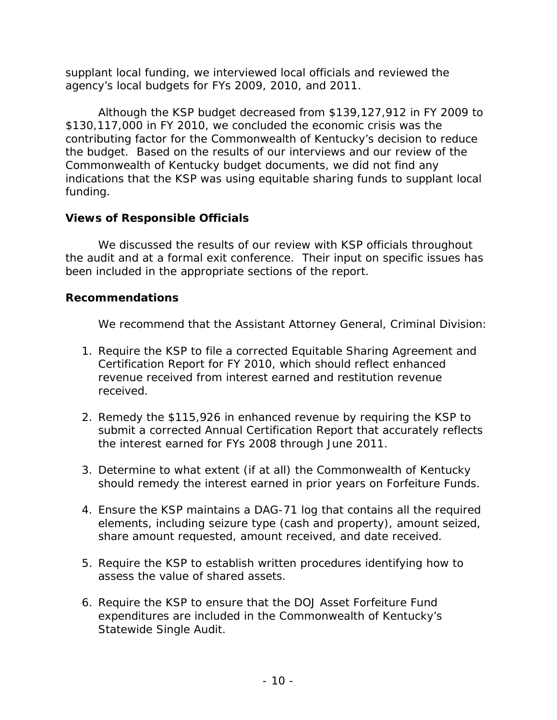supplant local funding, we interviewed local officials and reviewed the agency's local budgets for FYs 2009, 2010, and 2011.

Although the KSP budget decreased from \$139,127,912 in FY 2009 to \$130,117,000 in FY 2010, we concluded the economic crisis was the contributing factor for the Commonwealth of Kentucky's decision to reduce the budget. Based on the results of our interviews and our review of the Commonwealth of Kentucky budget documents, we did not find any indications that the KSP was using equitable sharing funds to supplant local funding.

## **Views of Responsible Officials**

We discussed the results of our review with KSP officials throughout the audit and at a formal exit conference. Their input on specific issues has been included in the appropriate sections of the report.

## **Recommendations**

We recommend that the Assistant Attorney General, Criminal Division:

- 1. Require the KSP to file a corrected Equitable Sharing Agreement and Certification Report for FY 2010, which should reflect enhanced revenue received from interest earned and restitution revenue received.
- 2. Remedy the \$115,926 in enhanced revenue by requiring the KSP to submit a corrected Annual Certification Report that accurately reflects the interest earned for FYs 2008 through June 2011.
- 3. Determine to what extent (if at all) the Commonwealth of Kentucky should remedy the interest earned in prior years on Forfeiture Funds.
- 4. Ensure the KSP maintains a DAG-71 log that contains all the required elements, including seizure type (cash and property), amount seized, share amount requested, amount received, and date received.
- 5. Require the KSP to establish written procedures identifying how to assess the value of shared assets.
- 6. Require the KSP to ensure that the DOJ Asset Forfeiture Fund expenditures are included in the Commonwealth of Kentucky's Statewide Single Audit.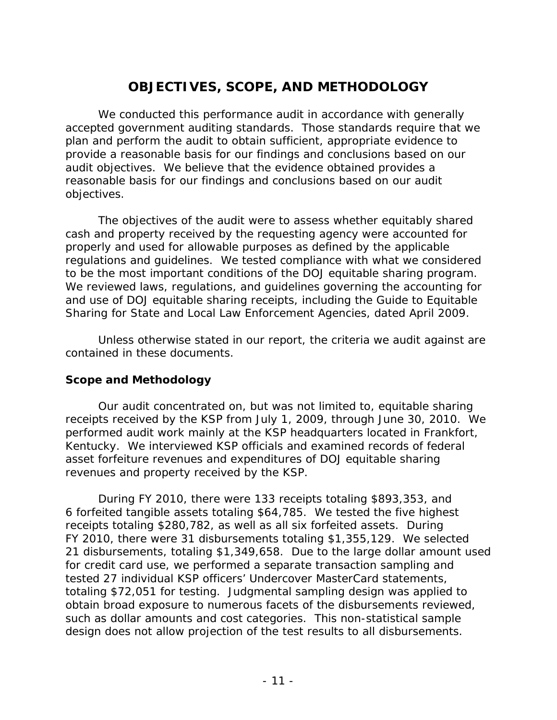# **OBJECTIVES, SCOPE, AND METHODOLOGY**

We conducted this performance audit in accordance with generally accepted government auditing standards. Those standards require that we plan and perform the audit to obtain sufficient, appropriate evidence to provide a reasonable basis for our findings and conclusions based on our audit objectives. We believe that the evidence obtained provides a reasonable basis for our findings and conclusions based on our audit objectives.

The objectives of the audit were to assess whether equitably shared cash and property received by the requesting agency were accounted for properly and used for allowable purposes as defined by the applicable regulations and guidelines. We tested compliance with what we considered to be the most important conditions of the DOJ equitable sharing program. We reviewed laws, regulations, and guidelines governing the accounting for and use of DOJ equitable sharing receipts, including the Guide to Equitable Sharing for State and Local Law Enforcement Agencies, dated April 2009.

Unless otherwise stated in our report, the criteria we audit against are contained in these documents.

#### **Scope and Methodology**

Our audit concentrated on, but was not limited to, equitable sharing receipts received by the KSP from July 1, 2009, through June 30, 2010. We performed audit work mainly at the KSP headquarters located in Frankfort, Kentucky. We interviewed KSP officials and examined records of federal asset forfeiture revenues and expenditures of DOJ equitable sharing revenues and property received by the KSP.

During FY 2010, there were 133 receipts totaling \$893,353, and 6 forfeited tangible assets totaling \$64,785. We tested the five highest receipts totaling \$280,782, as well as all six forfeited assets. During FY 2010, there were 31 disbursements totaling \$1,355,129. We selected 21 disbursements, totaling \$1,349,658. Due to the large dollar amount used for credit card use, we performed a separate transaction sampling and tested 27 individual KSP officers' Undercover MasterCard statements, totaling \$72,051 for testing. Judgmental sampling design was applied to obtain broad exposure to numerous facets of the disbursements reviewed, such as dollar amounts and cost categories. This non-statistical sample design does not allow projection of the test results to all disbursements.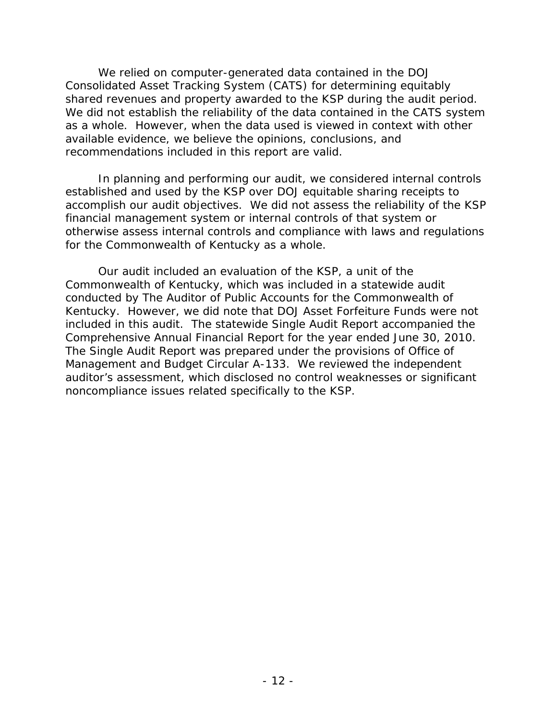We relied on computer-generated data contained in the DOJ Consolidated Asset Tracking System (CATS) for determining equitably shared revenues and property awarded to the KSP during the audit period. We did not establish the reliability of the data contained in the CATS system as a whole. However, when the data used is viewed in context with other available evidence, we believe the opinions, conclusions, and recommendations included in this report are valid.

In planning and performing our audit, we considered internal controls established and used by the KSP over DOJ equitable sharing receipts to accomplish our audit objectives. We did not assess the reliability of the KSP financial management system or internal controls of that system or otherwise assess internal controls and compliance with laws and regulations for the Commonwealth of Kentucky as a whole.

Our audit included an evaluation of the KSP, a unit of the Commonwealth of Kentucky, which was included in a statewide audit conducted by The Auditor of Public Accounts for the Commonwealth of Kentucky. However, we did note that DOJ Asset Forfeiture Funds were not included in this audit. The statewide Single Audit Report accompanied the Comprehensive Annual Financial Report for the year ended June 30, 2010. The Single Audit Report was prepared under the provisions of Office of Management and Budget Circular A-133. We reviewed the independent auditor's assessment, which disclosed no control weaknesses or significant noncompliance issues related specifically to the KSP.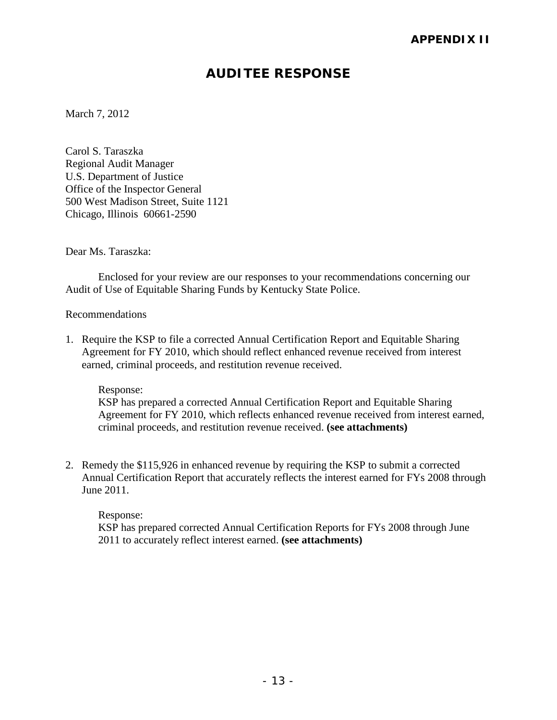# **AUDITEE RESPONSE**

March 7, 2012

Carol S. Taraszka Regional Audit Manager U.S. Department of Justice Office of the Inspector General 500 West Madison Street, Suite 1121 Chicago, Illinois 60661-2590

Dear Ms. Taraszka:

Enclosed for your review are our responses to your recommendations concerning our Audit of Use of Equitable Sharing Funds by Kentucky State Police.

#### Recommendations

1. Require the KSP to file a corrected Annual Certification Report and Equitable Sharing Agreement for FY 2010, which should reflect enhanced revenue received from interest earned, criminal proceeds, and restitution revenue received.

Response:

KSP has prepared a corrected Annual Certification Report and Equitable Sharing Agreement for FY 2010, which reflects enhanced revenue received from interest earned, criminal proceeds, and restitution revenue received. **(see attachments)**

2. Remedy the \$115,926 in enhanced revenue by requiring the KSP to submit a corrected Annual Certification Report that accurately reflects the interest earned for FYs 2008 through June 2011.

Response: KSP has prepared corrected Annual Certification Reports for FYs 2008 through June 2011 to accurately reflect interest earned. **(see attachments)**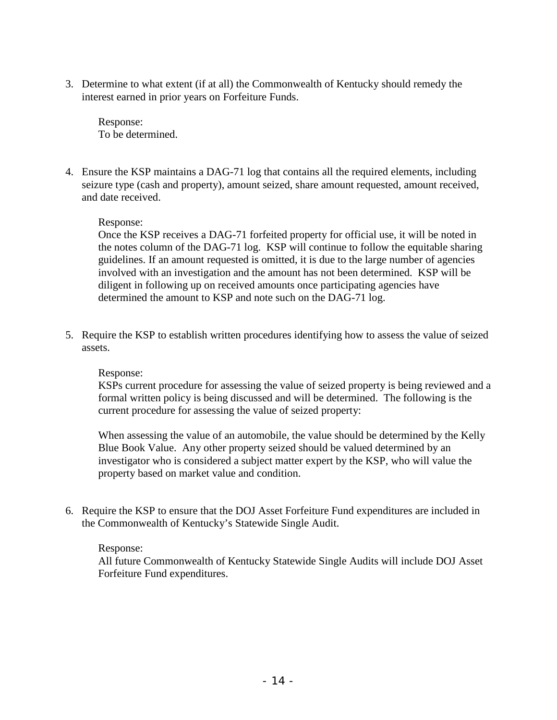3. Determine to what extent (if at all) the Commonwealth of Kentucky should remedy the interest earned in prior years on Forfeiture Funds.

Response: To be determined.

4. Ensure the KSP maintains a DAG-71 log that contains all the required elements, including seizure type (cash and property), amount seized, share amount requested, amount received, and date received.

#### Response:

Once the KSP receives a DAG-71 forfeited property for official use, it will be noted in the notes column of the DAG-71 log. KSP will continue to follow the equitable sharing guidelines. If an amount requested is omitted, it is due to the large number of agencies involved with an investigation and the amount has not been determined. KSP will be diligent in following up on received amounts once participating agencies have determined the amount to KSP and note such on the DAG-71 log.

5. Require the KSP to establish written procedures identifying how to assess the value of seized assets.

#### Response:

KSPs current procedure for assessing the value of seized property is being reviewed and a formal written policy is being discussed and will be determined. The following is the current procedure for assessing the value of seized property:

When assessing the value of an automobile, the value should be determined by the Kelly Blue Book Value. Any other property seized should be valued determined by an investigator who is considered a subject matter expert by the KSP, who will value the property based on market value and condition.

6. Require the KSP to ensure that the DOJ Asset Forfeiture Fund expenditures are included in the Commonwealth of Kentucky's Statewide Single Audit.

#### Response:

All future Commonwealth of Kentucky Statewide Single Audits will include DOJ Asset Forfeiture Fund expenditures.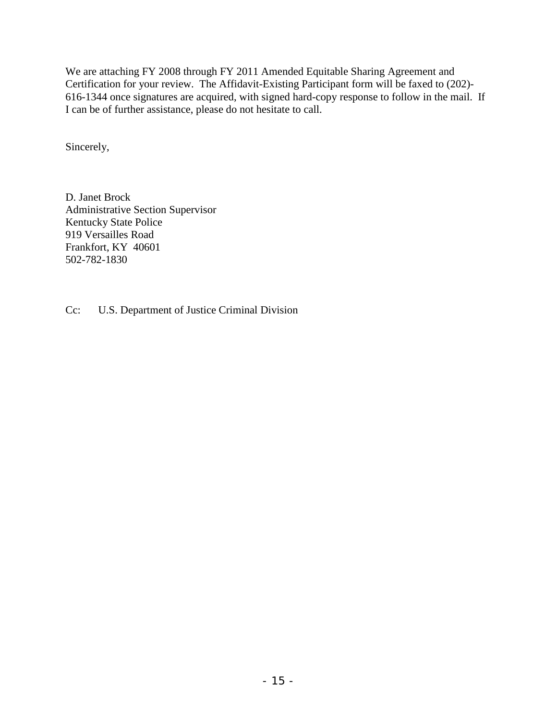We are attaching FY 2008 through FY 2011 Amended Equitable Sharing Agreement and Certification for your review. The Affidavit-Existing Participant form will be faxed to (202)- 616-1344 once signatures are acquired, with signed hard-copy response to follow in the mail. If I can be of further assistance, please do not hesitate to call.

Sincerely,

D. Janet Brock Administrative Section Supervisor Kentucky State Police 919 Versailles Road Frankfort, KY 40601 502-782-1830

Cc: U.S. Department of Justice Criminal Division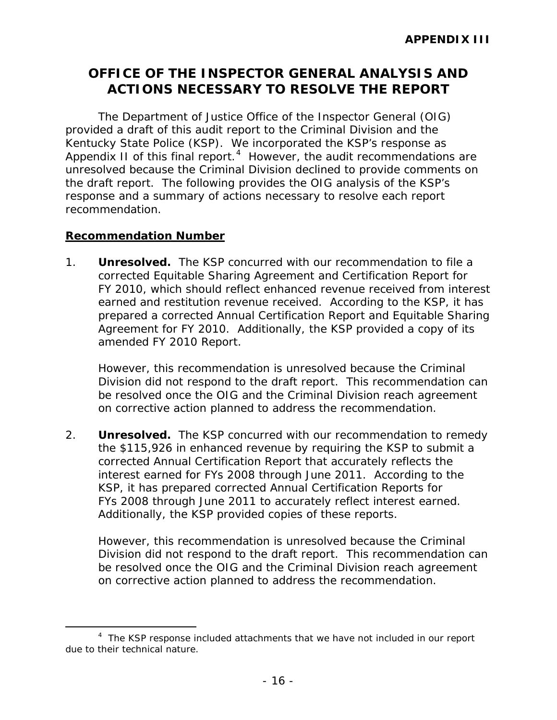# **OFFICE OF THE INSPECTOR GENERAL ANALYSIS AND ACTIONS NECESSARY TO RESOLVE THE REPORT**

The Department of Justice Office of the Inspector General (OIG) provided a draft of this audit report to the Criminal Division and the Kentucky State Police (KSP). We incorporated the KSP's response as Appendix II of this final report. $4$  However, the audit recommendations are unresolved because the Criminal Division declined to provide comments on the draft report. The following provides the OIG analysis of the KSP's response and a summary of actions necessary to resolve each report recommendation.

#### **Recommendation Number**

1. **Unresolved.** The KSP concurred with our recommendation to file a corrected Equitable Sharing Agreement and Certification Report for FY 2010, which should reflect enhanced revenue received from interest earned and restitution revenue received. According to the KSP, it has prepared a corrected Annual Certification Report and Equitable Sharing Agreement for FY 2010. Additionally, the KSP provided a copy of its amended FY 2010 Report.

However, this recommendation is unresolved because the Criminal Division did not respond to the draft report. This recommendation can be resolved once the OIG and the Criminal Division reach agreement on corrective action planned to address the recommendation.

2. **Unresolved.** The KSP concurred with our recommendation to remedy the \$115,926 in enhanced revenue by requiring the KSP to submit a corrected Annual Certification Report that accurately reflects the interest earned for FYs 2008 through June 2011. According to the KSP, it has prepared corrected Annual Certification Reports for FYs 2008 through June 2011 to accurately reflect interest earned. Additionally, the KSP provided copies of these reports.

However, this recommendation is unresolved because the Criminal Division did not respond to the draft report. This recommendation can be resolved once the OIG and the Criminal Division reach agreement on corrective action planned to address the recommendation.

<span id="page-19-0"></span> $\overline{a}$ <sup>4</sup> The KSP response included attachments that we have not included in our report due to their technical nature.